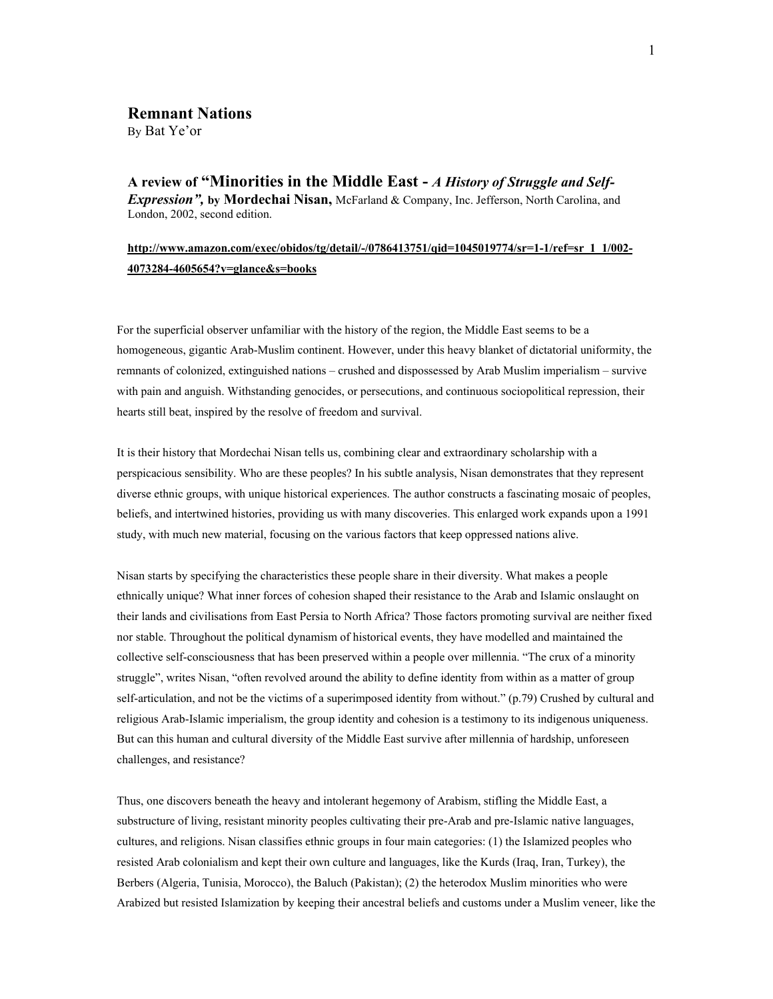## **Remnant Nations**  By Bat Ye'or

**A review of "Minorities in the Middle East -** *A History of Struggle and Self-Expression",* **by Mordechai Nisan,** McFarland & Company, Inc. Jefferson, North Carolina, and London, 2002, second edition.

## **http://www.amazon.com/exec/obidos/tg/detail/-/0786413751/qid=1045019774/sr=1-1/ref=sr\_1\_1/002- 4073284-4605654?v=glance&s=books**

For the superficial observer unfamiliar with the history of the region, the Middle East seems to be a homogeneous, gigantic Arab-Muslim continent. However, under this heavy blanket of dictatorial uniformity, the remnants of colonized, extinguished nations – crushed and dispossessed by Arab Muslim imperialism – survive with pain and anguish. Withstanding genocides, or persecutions, and continuous sociopolitical repression, their hearts still beat, inspired by the resolve of freedom and survival.

It is their history that Mordechai Nisan tells us, combining clear and extraordinary scholarship with a perspicacious sensibility. Who are these peoples? In his subtle analysis, Nisan demonstrates that they represent diverse ethnic groups, with unique historical experiences. The author constructs a fascinating mosaic of peoples, beliefs, and intertwined histories, providing us with many discoveries. This enlarged work expands upon a 1991 study, with much new material, focusing on the various factors that keep oppressed nations alive.

Nisan starts by specifying the characteristics these people share in their diversity. What makes a people ethnically unique? What inner forces of cohesion shaped their resistance to the Arab and Islamic onslaught on their lands and civilisations from East Persia to North Africa? Those factors promoting survival are neither fixed nor stable. Throughout the political dynamism of historical events, they have modelled and maintained the collective self-consciousness that has been preserved within a people over millennia. "The crux of a minority struggle", writes Nisan, "often revolved around the ability to define identity from within as a matter of group self-articulation, and not be the victims of a superimposed identity from without." (p.79) Crushed by cultural and religious Arab-Islamic imperialism, the group identity and cohesion is a testimony to its indigenous uniqueness. But can this human and cultural diversity of the Middle East survive after millennia of hardship, unforeseen challenges, and resistance?

Thus, one discovers beneath the heavy and intolerant hegemony of Arabism, stifling the Middle East, a substructure of living, resistant minority peoples cultivating their pre-Arab and pre-Islamic native languages, cultures, and religions. Nisan classifies ethnic groups in four main categories: (1) the Islamized peoples who resisted Arab colonialism and kept their own culture and languages, like the Kurds (Iraq, Iran, Turkey), the Berbers (Algeria, Tunisia, Morocco), the Baluch (Pakistan); (2) the heterodox Muslim minorities who were Arabized but resisted Islamization by keeping their ancestral beliefs and customs under a Muslim veneer, like the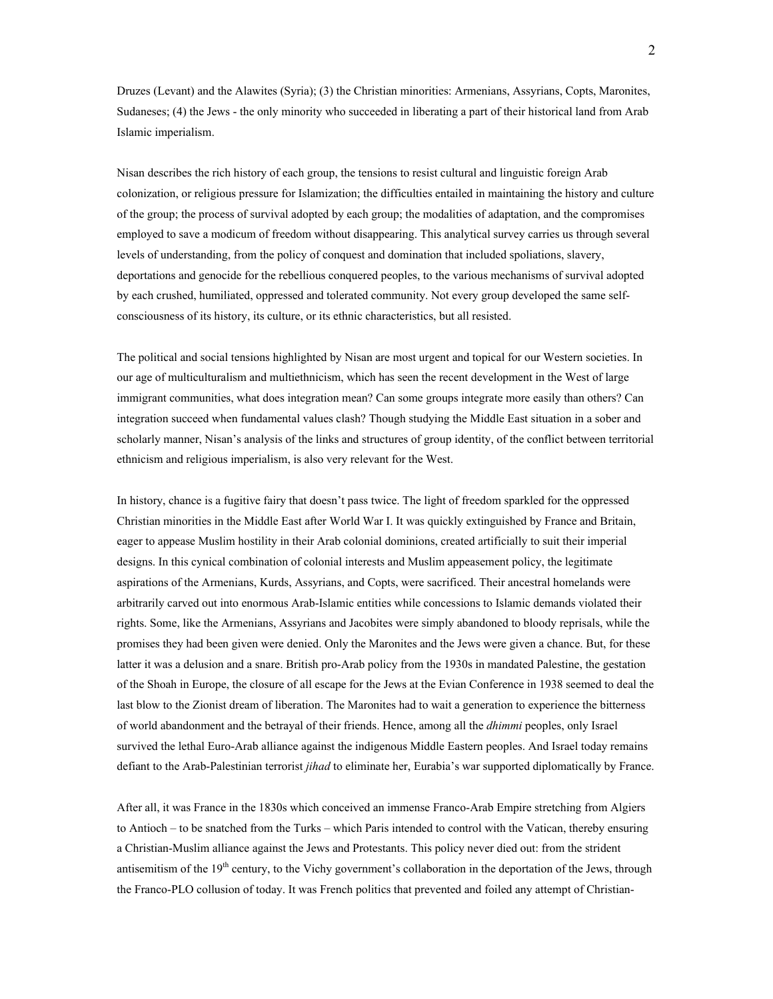Druzes (Levant) and the Alawites (Syria); (3) the Christian minorities: Armenians, Assyrians, Copts, Maronites, Sudaneses; (4) the Jews - the only minority who succeeded in liberating a part of their historical land from Arab Islamic imperialism.

Nisan describes the rich history of each group, the tensions to resist cultural and linguistic foreign Arab colonization, or religious pressure for Islamization; the difficulties entailed in maintaining the history and culture of the group; the process of survival adopted by each group; the modalities of adaptation, and the compromises employed to save a modicum of freedom without disappearing. This analytical survey carries us through several levels of understanding, from the policy of conquest and domination that included spoliations, slavery, deportations and genocide for the rebellious conquered peoples, to the various mechanisms of survival adopted by each crushed, humiliated, oppressed and tolerated community. Not every group developed the same selfconsciousness of its history, its culture, or its ethnic characteristics, but all resisted.

The political and social tensions highlighted by Nisan are most urgent and topical for our Western societies. In our age of multiculturalism and multiethnicism, which has seen the recent development in the West of large immigrant communities, what does integration mean? Can some groups integrate more easily than others? Can integration succeed when fundamental values clash? Though studying the Middle East situation in a sober and scholarly manner, Nisan's analysis of the links and structures of group identity, of the conflict between territorial ethnicism and religious imperialism, is also very relevant for the West.

In history, chance is a fugitive fairy that doesn't pass twice. The light of freedom sparkled for the oppressed Christian minorities in the Middle East after World War I. It was quickly extinguished by France and Britain, eager to appease Muslim hostility in their Arab colonial dominions, created artificially to suit their imperial designs. In this cynical combination of colonial interests and Muslim appeasement policy, the legitimate aspirations of the Armenians, Kurds, Assyrians, and Copts, were sacrificed. Their ancestral homelands were arbitrarily carved out into enormous Arab-Islamic entities while concessions to Islamic demands violated their rights. Some, like the Armenians, Assyrians and Jacobites were simply abandoned to bloody reprisals, while the promises they had been given were denied. Only the Maronites and the Jews were given a chance. But, for these latter it was a delusion and a snare. British pro-Arab policy from the 1930s in mandated Palestine, the gestation of the Shoah in Europe, the closure of all escape for the Jews at the Evian Conference in 1938 seemed to deal the last blow to the Zionist dream of liberation. The Maronites had to wait a generation to experience the bitterness of world abandonment and the betrayal of their friends. Hence, among all the *dhimmi* peoples, only Israel survived the lethal Euro-Arab alliance against the indigenous Middle Eastern peoples. And Israel today remains defiant to the Arab-Palestinian terrorist *jihad* to eliminate her, Eurabia's war supported diplomatically by France.

After all, it was France in the 1830s which conceived an immense Franco-Arab Empire stretching from Algiers to Antioch – to be snatched from the Turks – which Paris intended to control with the Vatican, thereby ensuring a Christian-Muslim alliance against the Jews and Protestants. This policy never died out: from the strident antisemitism of the 19<sup>th</sup> century, to the Vichy government's collaboration in the deportation of the Jews, through the Franco-PLO collusion of today. It was French politics that prevented and foiled any attempt of Christian